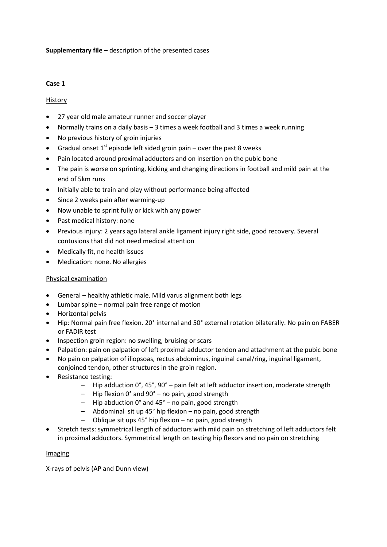## **Supplementary file** – description of the presented cases

#### **Case 1**

### History

- 27 year old male amateur runner and soccer player
- Normally trains on a daily basis 3 times a week football and 3 times a week running
- No previous history of groin injuries
- Gradual onset  $1<sup>st</sup>$  episode left sided groin pain over the past 8 weeks
- Pain located around proximal adductors and on insertion on the pubic bone
- The pain is worse on sprinting, kicking and changing directions in football and mild pain at the end of 5km runs
- Initially able to train and play without performance being affected
- Since 2 weeks pain after warming-up
- Now unable to sprint fully or kick with any power
- Past medical history: none
- Previous injury: 2 years ago lateral ankle ligament injury right side, good recovery. Several contusions that did not need medical attention
- Medically fit, no health issues
- Medication: none. No allergies

#### Physical examination

- General healthy athletic male. Mild varus alignment both legs
- Lumbar spine normal pain free range of motion
- Horizontal pelvis
- Hip: Normal pain free flexion. 20° internal and 50° external rotation bilaterally. No pain on FABER or FADIR test
- Inspection groin region: no swelling, bruising or scars
- Palpation: pain on palpation of left proximal adductor tendon and attachment at the pubic bone
- No pain on palpation of iliopsoas, rectus abdominus, inguinal canal/ring, inguinal ligament, conjoined tendon, other structures in the groin region.
- Resistance testing:
	- Hip adduction 0°, 45°, 90° pain felt at left adductor insertion, moderate strength
	- Hip flexion 0° and 90° no pain, good strength
	- Hip abduction 0° and 45° no pain, good strength
	- Abdominal sit up 45° hip flexion no pain, good strength
	- Oblique sit ups 45° hip flexion no pain, good strength
- Stretch tests: symmetrical length of adductors with mild pain on stretching of left adductors felt in proximal adductors. Symmetrical length on testing hip flexors and no pain on stretching

#### Imaging

X-rays of pelvis (AP and Dunn view)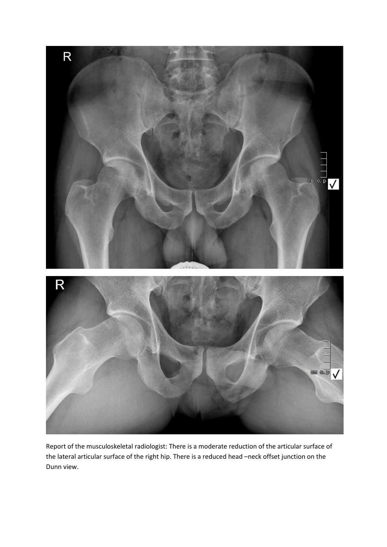

Report of the musculoskeletal radiologist: There is a moderate reduction of the articular surface of the lateral articular surface of the right hip. There is a reduced head –neck offset junction on the Dunn view.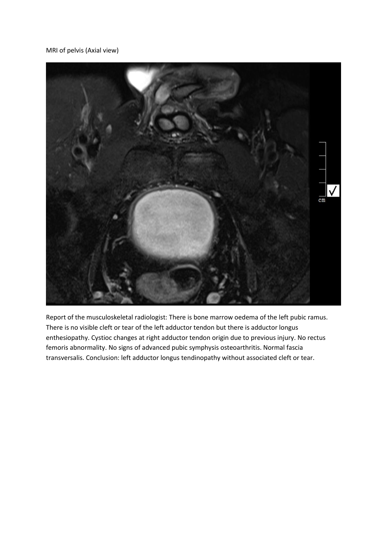MRI of pelvis (Axial view)



Report of the musculoskeletal radiologist: There is bone marrow oedema of the left pubic ramus. There is no visible cleft or tear of the left adductor tendon but there is adductor longus enthesiopathy. Cystioc changes at right adductor tendon origin due to previous injury. No rectus femoris abnormality. No signs of advanced pubic symphysis osteoarthritis. Normal fascia transversalis. Conclusion: left adductor longus tendinopathy without associated cleft or tear.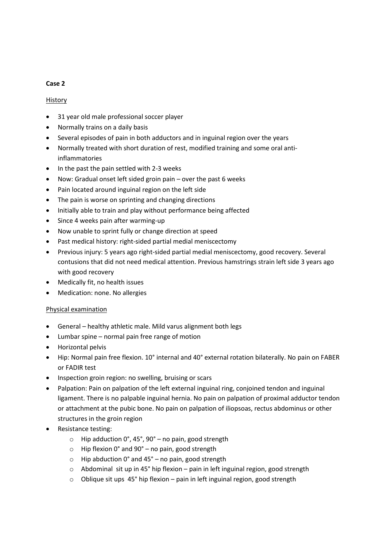### **Case 2**

## History

- 31 year old male professional soccer player
- Normally trains on a daily basis
- Several episodes of pain in both adductors and in inguinal region over the years
- Normally treated with short duration of rest, modified training and some oral antiinflammatories
- In the past the pain settled with 2-3 weeks
- Now: Gradual onset left sided groin pain over the past 6 weeks
- Pain located around inguinal region on the left side
- The pain is worse on sprinting and changing directions
- Initially able to train and play without performance being affected
- Since 4 weeks pain after warming-up
- Now unable to sprint fully or change direction at speed
- Past medical history: right-sided partial medial meniscectomy
- Previous injury: 5 years ago right-sided partial medial meniscectomy, good recovery. Several contusions that did not need medical attention. Previous hamstrings strain left side 3 years ago with good recovery
- Medically fit, no health issues
- Medication: none. No allergies

# Physical examination

- General healthy athletic male. Mild varus alignment both legs
- Lumbar spine normal pain free range of motion
- Horizontal pelvis
- Hip: Normal pain free flexion. 10° internal and 40° external rotation bilaterally. No pain on FABER or FADIR test
- Inspection groin region: no swelling, bruising or scars
- Palpation: Pain on palpation of the left external inguinal ring, conjoined tendon and inguinal ligament. There is no palpable inguinal hernia. No pain on palpation of proximal adductor tendon or attachment at the pubic bone. No pain on palpation of iliopsoas, rectus abdominus or other structures in the groin region
- Resistance testing:
	- $\circ$  Hip adduction 0°, 45°, 90° no pain, good strength
	- o Hip flexion 0° and 90° no pain, good strength
	- $\circ$  Hip abduction 0° and 45° no pain, good strength
	- o Abdominal sit up in 45° hip flexion pain in left inguinal region, good strength
	- $\circ$  Oblique sit ups 45° hip flexion pain in left inguinal region, good strength